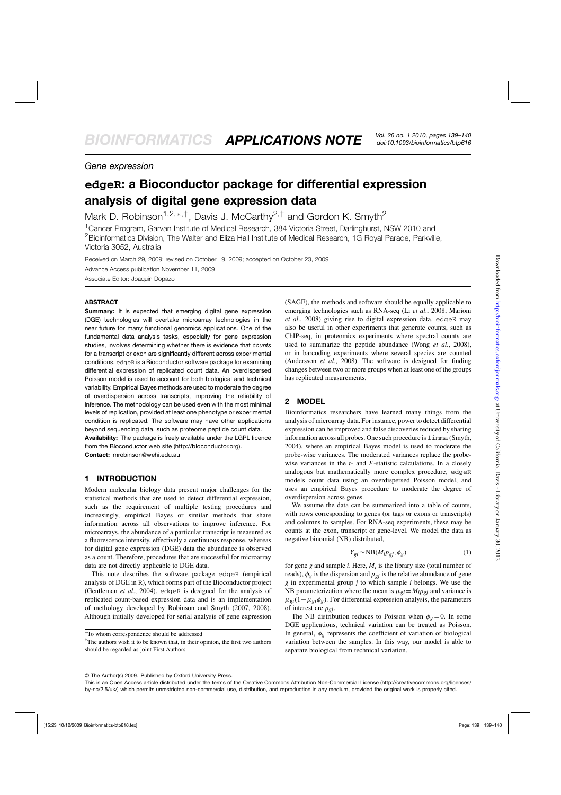# *Gene expression*

# **edgeR: a Bioconductor package for differential expression analysis of digital gene expression data**

Mark D. Robinson<sup>1,2,\*,†</sup>, Davis J. McCarthy<sup>2,†</sup> and Gordon K. Smyth<sup>2</sup>

<sup>1</sup> Cancer Program, Garvan Institute of Medical Research, 384 Victoria Street, Darlinghurst, NSW 2010 and <sup>2</sup>Bioinformatics Division, The Walter and Eliza Hall Institute of Medical Research, 1G Royal Parade, Parkville, Victoria 3052, Australia

Received on March 29, 2009; revised on October 19, 2009; accepted on October 23, 2009

Advance Access publication November 11, 2009

Associate Editor: Joaquin Dopazo

## **ABSTRACT**

**Summary:** It is expected that emerging digital gene expression (DGE) technologies will overtake microarray technologies in the near future for many functional genomics applications. One of the fundamental data analysis tasks, especially for gene expression studies, involves determining whether there is evidence that *counts* for a transcript or exon are significantly different across experimental conditions. edgeR is a Bioconductor software package for examining differential expression of replicated count data. An overdispersed Poisson model is used to account for both biological and technical variability. Empirical Bayes methods are used to moderate the degree of overdispersion across transcripts, improving the reliability of inference. The methodology can be used even with the most minimal levels of replication, provided at least one phenotype or experimental condition is replicated. The software may have other applications beyond sequencing data, such as proteome peptide count data. **Availability:** The package is freely available under the LGPL licence from the Bioconductor web site [\(http://bioconductor.org](http://bioconductor.org)). **Contact:** mrobinson@wehi.edu.au

**1 INTRODUCTION**

Modern molecular biology data present major challenges for the statistical methods that are used to detect differential expression, such as the requirement of multiple testing procedures and increasingly, empirical Bayes or similar methods that share information across all observations to improve inference. For microarrays, the abundance of a particular transcript is measured as a fluorescence intensity, effectively a continuous response, whereas for digital gene expression (DGE) data the abundance is observed as a count. Therefore, procedures that are successful for microarray data are not directly applicable to DGE data.

This note describes the software package edgeR (empirical analysis of DGE in R), which forms part of the Bioconductor project (Gentleman *et al*., 2004). edgeR is designed for the analysis of replicated count-based expression data and is an implementation of methology developed by Robinson and Smyth (2007, 2008). Although initially developed for serial analysis of gene expression

†The authors wish it to be known that, in their opinion, the first two authors should be regarded as joint First Authors.

(SAGE), the methods and software should be equally applicable to emerging technologies such as RNA-seq (Li *et al*., 2008; Marioni *et al*., 2008) giving rise to digital expression data. edgeR may also be useful in other experiments that generate counts, such as ChIP-seq, in proteomics experiments where spectral counts are used to summarize the peptide abundance (Wong *et al*., 2008), or in barcoding experiments where several species are counted (Andersson *et al*., 2008). The software is designed for finding changes between two or more groups when at least one of the groups has replicated measurements.

# **2 MODEL**

Bioinformatics researchers have learned many things from the analysis of microarray data. For instance, power to detect differential expression can be improved and false discoveries reduced by sharing information across all probes. One such procedure is limma (Smyth, 2004), where an empirical Bayes model is used to moderate the probe-wise variances. The moderated variances replace the probewise variances in the *t*- and *F*-statistic calculations. In a closely analogous but mathematically more complex procedure, edgeR models count data using an overdispersed Poisson model, and uses an empirical Bayes procedure to moderate the degree of overdispersion across genes.

We assume the data can be summarized into a table of counts, with rows corresponding to genes (or tags or exons or transcripts) and columns to samples. For RNA-seq experiments, these may be counts at the exon, transcript or gene-level. We model the data as negative binomial (NB) distributed,

$$
Y_{gi} \sim NB(M_i p_{gj}, \phi_g)
$$
 (1)

for gene  $g$  and sample  $i$ . Here,  $M_i$  is the library size (total number of reads),  $\phi_g$  is the dispersion and  $p_{gi}$  is the relative abundance of gene *g* in experimental group *j* to which sample *i* belongs. We use the NB parameterization where the mean is  $\mu_{gi} = M_i p_{gi}$  and variance is  $\mu_{gi}(1+\mu_{gi}\phi_g)$ . For differential expression analysis, the parameters of interest are *pgj*.

The NB distribution reduces to Poisson when  $\phi_{\varphi} = 0$ . In some DGE applications, technical variation can be treated as Poisson. In general,  $\phi_g$  represents the coefficient of variation of biological variation between the samples. In this way, our model is able to separate biological from technical variation.

© The Author(s) 2009. Published by Oxford University Press.

<sup>∗</sup>To whom correspondence should be addressed

This is an Open Access article distributed under the terms of the Creative Commons Attribution Non-Commercial License (<http://creativecommons.org/licenses/> by-nc/2.5/uk/) which permits unrestricted non-commercial use, distribution, and reproduction in any medium, provided the original work is properly cited.